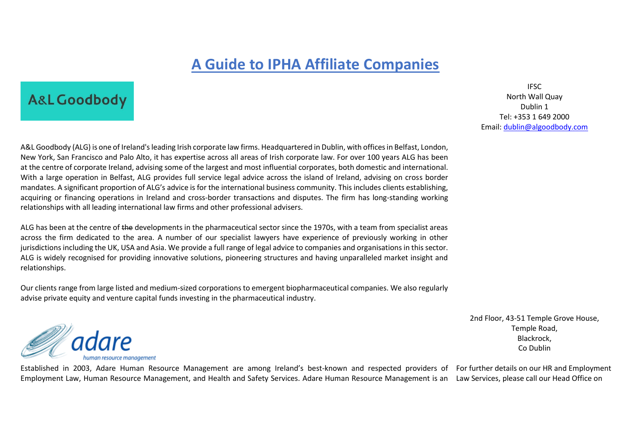### **A Guide to IPHA Affiliate Companies**

### **A&L Goodbody**

IFSC North Wall Quay Dublin 1 Tel: +353 1 649 2000 Email: [dublin@algoodbody.com](mailto:dublin@algoodbody.com)

A&L Goodbody (ALG) is one of Ireland's leading Irish corporate law firms. Headquartered in Dublin, with offices in Belfast, London, New York, San Francisco and Palo Alto, it has expertise across all areas of Irish corporate law. For over 100 years ALG has been at the centre of corporate Ireland, advising some of the largest and most influential corporates, both domestic and international. With a large operation in Belfast, ALG provides full service legal advice across the island of Ireland, advising on cross border mandates. A significant proportion of ALG's advice is for the international business community. This includes clients establishing, acquiring or financing operations in Ireland and cross-border transactions and disputes. The firm has long-standing working relationships with all leading international law firms and other professional advisers.

ALG has been at the centre of the developments in the pharmaceutical sector since the 1970s, with a team from specialist areas across the firm dedicated to the area. A number of our specialist lawyers have experience of previously working in other jurisdictions including the UK, USA and Asia. We provide a full range of legal advice to companies and organisations in this sector. ALG is widely recognised for providing innovative solutions, pioneering structures and having unparalleled market insight and relationships.

Our clients range from large listed and medium-sized corporations to emergent biopharmaceutical companies. We also regularly advise private equity and venture capital funds investing in the pharmaceutical industry.



2nd Floor, 43-51 Temple Grove House, Temple Road, Blackrock, Co Dublin

Established in 2003, Adare Human Resource Management are among Ireland's best-known and respected providers of For further details on our HR and Employment Employment Law, Human Resource Management, and Health and Safety Services. Adare Human Resource Management is an Law Services, please call our Head Office on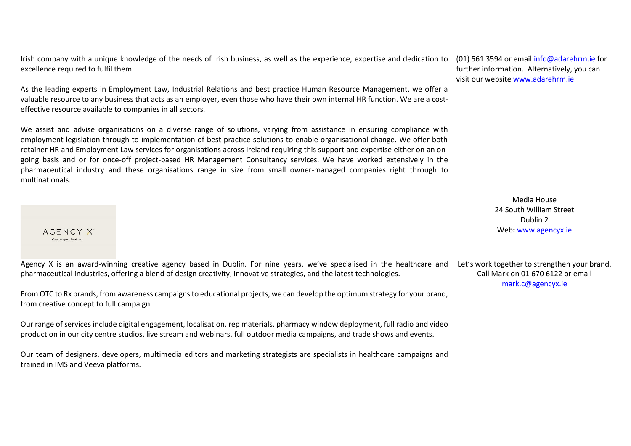Irish company with a unique knowledge of the needs of Irish business, as well as the experience, expertise and dedication to (01) 561 3594 or email <u>info@adarehrm.ie</u> for excellence required to fulfil them.

As the leading experts in Employment Law, Industrial Relations and best practice Human Resource Management, we offer a valuable resource to any business that acts as an employer, even those who have their own internal HR function. We are a costeffective resource available to companies in all sectors.

We assist and advise organisations on a diverse range of solutions, varying from assistance in ensuring compliance with employment legislation through to implementation of best practice solutions to enable organisational change. We offer both retainer HR and Employment Law services for organisations across Ireland requiring this support and expertise either on an ongoing basis and or for once-off project-based HR Management Consultancy services. We have worked extensively in the pharmaceutical industry and these organisations range in size from small owner-managed companies right through to multinationals.

 $AG = NCYX$ Campaigns, Evolved

Agency X is an award-winning creative agency based in Dublin. For nine years, we've specialised in the healthcare and pharmaceutical industries, offering a blend of design creativity, innovative strategies, and the latest technologies.

From OTC to Rx brands, from awareness campaigns to educational projects, we can develop the optimum strategy for your brand, from creative concept to full campaign.

Our range of services include digital engagement, localisation, rep materials, pharmacy window deployment, full radio and video production in our city centre studios, live stream and webinars, full outdoor media campaigns, and trade shows and events.

Our team of designers, developers, multimedia editors and marketing strategists are specialists in healthcare campaigns and trained in IMS and Veeva platforms.

further information. Alternatively, you can visit our websit[e www.adarehrm.ie](http://www.adarehrm.ie/)

> Media House 24 South William Street Dublin 2 Web**:** [www.agencyx.ie](http://www.agencyx.ie/)

Let's work together to strengthen your brand. Call Mark on 01 670 6122 or email [mark.c@agencyx.ie](mailto:mark.c@agencyx.ie)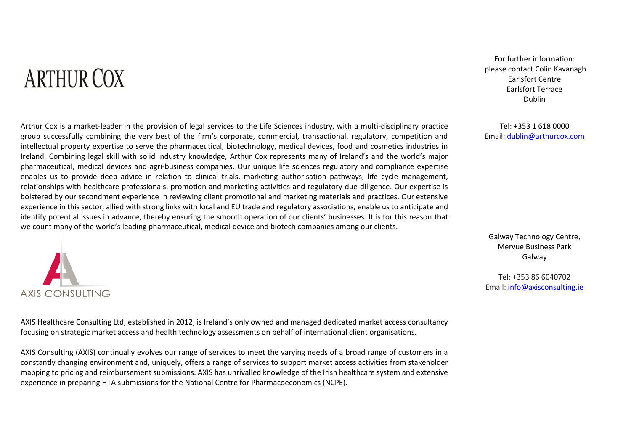# **ARTHUR COX**

For further information: please contact Colin Kavanagh Earlsfort Centre Earlsfort Terrace Dublin

Tel: +353 1 618 0000 Email: [dublin@arthurcox.com](mailto:dublin@arthurcox.com)

Arthur Cox is a market-leader in the provision of legal services to the Life Sciences industry, with a multi-disciplinary practice group successfully combining the very best of the firm's corporate, commercial, transactional, regulatory, competition and intellectual property expertise to serve the pharmaceutical, biotechnology, medical devices, food and cosmetics industries in Ireland. Combining legal skill with solid industry knowledge, Arthur Cox represents many of Ireland's and the world's major pharmaceutical, medical devices and agri-business companies. Our unique life sciences regulatory and compliance expertise enables us to provide deep advice in relation to clinical trials, marketing authorisation pathways, life cycle management, relationships with healthcare professionals, promotion and marketing activities and regulatory due diligence. Our expertise is bolstered by our secondment experience in reviewing client promotional and marketing materials and practices. Our extensive experience in this sector, allied with strong links with local and EU trade and regulatory associations, enable us to anticipate and identify potential issues in advance, thereby ensuring the smooth operation of our clients' businesses. It is for this reason that we count many of the world's leading pharmaceutical, medical device and biotech companies among our clients.



AXIS Healthcare Consulting Ltd, established in 2012, is Ireland's only owned and managed dedicated market access consultancy focusing on strategic market access and health technology assessments on behalf of international client organisations.

AXIS Consulting (AXIS) continually evolves our range of services to meet the varying needs of a broad range of customers in a constantly changing environment and, uniquely, offers a range of services to support market access activities from stakeholder mapping to pricing and reimbursement submissions. AXIS has unrivalled knowledge of the Irish healthcare system and extensive experience in preparing HTA submissions for the National Centre for Pharmacoeconomics (NCPE).

Galway Technology Centre, Mervue Business Park Galway

Tel: +353 86 6040702 Email: [info@axisconsulting.ie](mailto:info@axisconsulting.ie)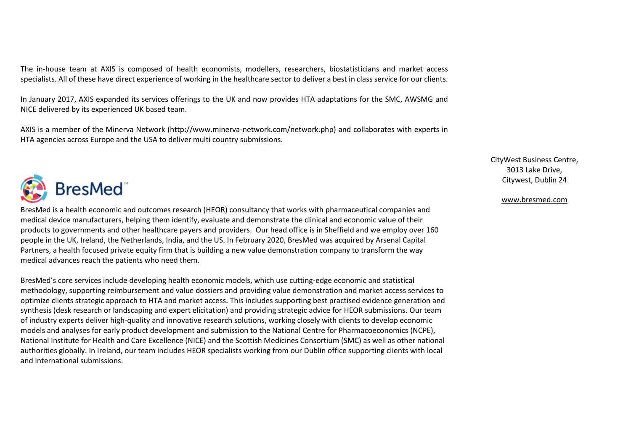The in-house team at AXIS is composed of health economists, modellers, researchers, biostatisticians and market access specialists. All of these have direct experience of working in the healthcare sector to deliver a best in class service for our clients.

In January 2017, AXIS expanded its services offerings to the UK and now provides HTA adaptations for the SMC, AWSMG and NICE delivered by its experienced UK based team.

AXIS is a member of the Minerva Network (http://www.minerva-network.com/network.php) and collaborates with experts in HTA agencies across Europe and the USA to deliver multi country submissions.



BresMed is a health economic and outcomes research (HEOR) consultancy that works with pharmaceutical companies and medical device manufacturers, helping them identify, evaluate and demonstrate the clinical and economic value of their products to governments and other healthcare payers and providers. Our head office is in Sheffield and we employ over 160 people in the UK, Ireland, the Netherlands, India, and the US. In February 2020, BresMed was acquired by Arsenal Capital Partners, a health focused private equity firm that is building a new value demonstration company to transform the way medical advances reach the patients who need them.

BresMed's core services include developing health economic models, which use cutting-edge economic and statistical methodology, supporting reimbursement and value dossiers and providing value demonstration and market access services to optimize clients strategic approach to HTA and market access. This includes supporting best practised evidence generation and synthesis (desk research or landscaping and expert elicitation) and providing strategic advice for HEOR submissions. Our team of industry experts deliver high-quality and innovative research solutions, working closely with clients to develop economic models and analyses for early product development and submission to the National Centre for Pharmacoeconomics (NCPE), National Institute for Health and Care Excellence (NICE) and the Scottish Medicines Consortium (SMC) as well as other national authorities globally. In Ireland, our team includes HEOR specialists working from our Dublin office supporting clients with local and international submissions.

#### CityWest Business Centre, 3013 Lake Drive, Citywest, Dublin 24

#### [www.bresmed.com](http://www.bresmed.com/)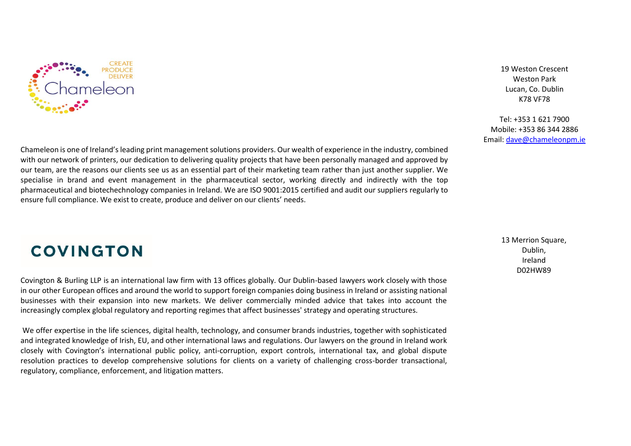

19 Weston Crescent Weston Park Lucan, Co. Dublin K78 VF78

Tel: +353 1 621 7900 Mobile: +353 86 344 2886 Email: [dave@chameleonpm.ie](mailto:dave@chameleonpm.ie)

Chameleon is one of Ireland's leading print management solutions providers. Our wealth of experience in the industry, combined with our network of printers, our dedication to delivering quality projects that have been personally managed and approved by our team, are the reasons our clients see us as an essential part of their marketing team rather than just another supplier. We specialise in brand and event management in the pharmaceutical sector, working directly and indirectly with the top pharmaceutical and biotechechnology companies in Ireland. We are ISO 9001:2015 certified and audit our suppliers regularly to ensure full compliance. We exist to create, produce and deliver on our clients' needs.

### **COVINGTON**

Covington & Burling LLP is an international law firm with 13 offices globally. Our Dublin-based lawyers work closely with those in our other European offices and around the world to support foreign companies doing business in Ireland or assisting national businesses with their expansion into new markets. We deliver commercially minded advice that takes into account the increasingly complex global regulatory and reporting regimes that affect businesses' strategy and operating structures.

We offer expertise in the life sciences, digital health, technology, and consumer brands industries, together with sophisticated and integrated knowledge of Irish, EU, and other international laws and regulations. Our lawyers on the ground in Ireland work closely with Covington's international public policy, anti-corruption, export controls, international tax, and global dispute resolution practices to develop comprehensive solutions for clients on a variety of challenging cross-border transactional, regulatory, compliance, enforcement, and litigation matters.

13 Merrion Square. Dublin, Ireland D02HW89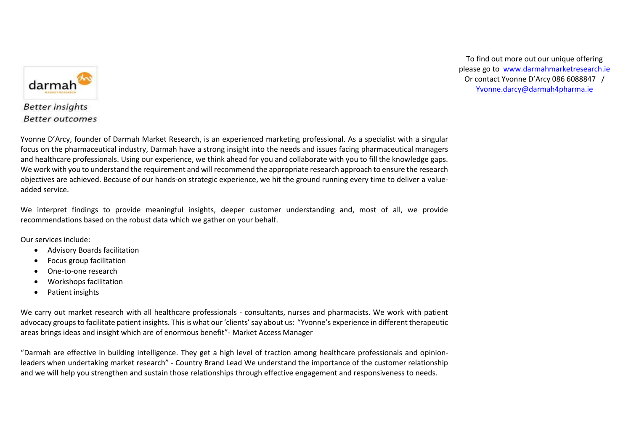

To find out more out our unique offering please go to [www.darmahmarketresearch.ie](http://www.darmahmarketresearch.ie/) Or contact Yvonne D'Arcy 086 6088847 / [Yvonne.darcy@darmah4pharma.ie](mailto:Yvonne.darcy@darmah4pharma.ie)

#### **Better insights Better outcomes**

Yvonne D'Arcy, founder of Darmah Market Research, is an experienced marketing professional. As a specialist with a singular focus on the pharmaceutical industry, Darmah have a strong insight into the needs and issues facing pharmaceutical managers and healthcare professionals. Using our experience, we think ahead for you and collaborate with you to fill the knowledge gaps. We work with you to understand the requirement and will recommend the appropriate research approach to ensure the research objectives are achieved. Because of our hands-on strategic experience, we hit the ground running every time to deliver a valueadded service.

We interpret findings to provide meaningful insights, deeper customer understanding and, most of all, we provide recommendations based on the robust data which we gather on your behalf.

Our services include:

- Advisory Boards facilitation
- Focus group facilitation
- One-to-one research
- Workshops facilitation
- Patient insights

We carry out market research with all healthcare professionals - consultants, nurses and pharmacists. We work with patient advocacy groups to facilitate patient insights. This is what our 'clients' say about us: "Yvonne's experience in different therapeutic areas brings ideas and insight which are of enormous benefit"- Market Access Manager

"Darmah are effective in building intelligence. They get a high level of traction among healthcare professionals and opinionleaders when undertaking market research" - Country Brand Lead We understand the importance of the customer relationship and we will help you strengthen and sustain those relationships through effective engagement and responsiveness to needs.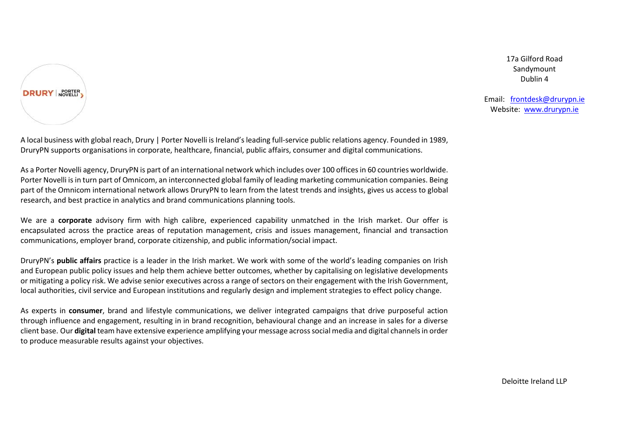

17a Gilford Road Sandymount Dublin 4

Email: [frontdesk@drurypn.ie](mailto:frontdesk@drurypn.ie) Website: [www.drurypn.ie](http://www.drurypn.ie/)

A local business with global reach, Drury | Porter Novelli is Ireland's leading full-service public relations agency. Founded in 1989, DruryPN supports organisations in corporate, healthcare, financial, public affairs, consumer and digital communications.

As a Porter Novelli agency, DruryPN is part of an international network which includes over 100 offices in 60 countries worldwide. Porter Novelli is in turn part of Omnicom, an interconnected global family of leading marketing communication companies. Being part of the Omnicom international network allows DruryPN to learn from the latest trends and insights, gives us access to global research, and best practice in analytics and brand communications planning tools.

We are a **corporate** advisory firm with high calibre, experienced capability unmatched in the Irish market. Our offer is encapsulated across the practice areas of reputation management, crisis and issues management, financial and transaction communications, employer brand, corporate citizenship, and public information/social impact.

DruryPN's **public affairs** practice is a leader in the Irish market. We work with some of the world's leading companies on Irish and European public policy issues and help them achieve better outcomes, whether by capitalising on legislative developments or mitigating a policy risk. We advise senior executives across a range of sectors on their engagement with the Irish Government, local authorities, civil service and European institutions and regularly design and implement strategies to effect policy change.

As experts in **consumer**, brand and lifestyle communications, we deliver integrated campaigns that drive purposeful action through influence and engagement, resulting in in brand recognition, behavioural change and an increase in sales for a diverse client base. Our **digital** team have extensive experience amplifying your message across social media and digital channels in order to produce measurable results against your objectives.

Deloitte Ireland LLP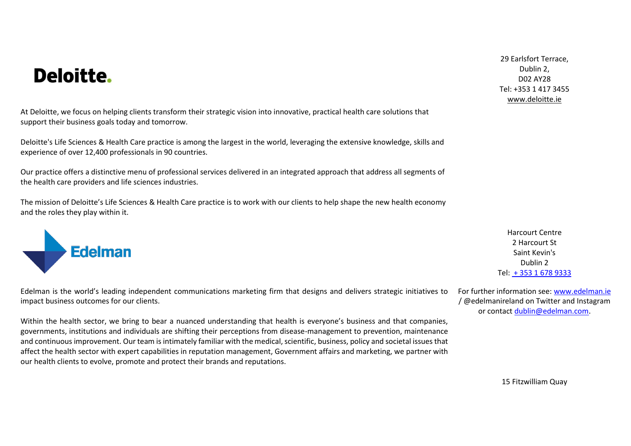## Deloitte.

At Deloitte, we focus on helping clients transform their strategic vision into innovative, practical health care solutions that support their business goals today and tomorrow.

Deloitte's Life Sciences & Health Care practice is among the largest in the world, leveraging the extensive knowledge, skills and experience of over 12,400 professionals in 90 countries.

Our practice offers a distinctive menu of professional services delivered in an integrated approach that address all segments of the health care providers and life sciences industries.

The mission of Deloitte's Life Sciences & Health Care practice is to work with our clients to help shape the new health economy and the roles they play within it.



Edelman is the world's leading independent communications marketing firm that designs and delivers strategic initiatives to impact business outcomes for our clients.

Within the health sector, we bring to bear a nuanced understanding that health is everyone's business and that companies, governments, institutions and individuals are shifting their perceptions from disease-management to prevention, maintenance and continuous improvement. Our team is intimately familiar with the medical, scientific, business, policy and societal issues that affect the health sector with expert capabilities in reputation management, Government affairs and marketing, we partner with our health clients to evolve, promote and protect their brands and reputations.

29 Earlsfort Terrace, Dublin 2, D02 AY28 Tel: +353 1 417 3455 [www.deloitte.ie](http://www.deloitte.ie/)

Harcourt Centre 2 Harcourt St Saint Kevin's Dublin 2 Tel: + 353 1 [678 9333](javascript:void(0))

For further information see: [www.edelman.ie](http://www.edelman.ie/) / @edelmanireland on Twitter and Instagram or contact [dublin@edelman.com.](mailto:dublin@edelman.com)

15 Fitzwilliam Quay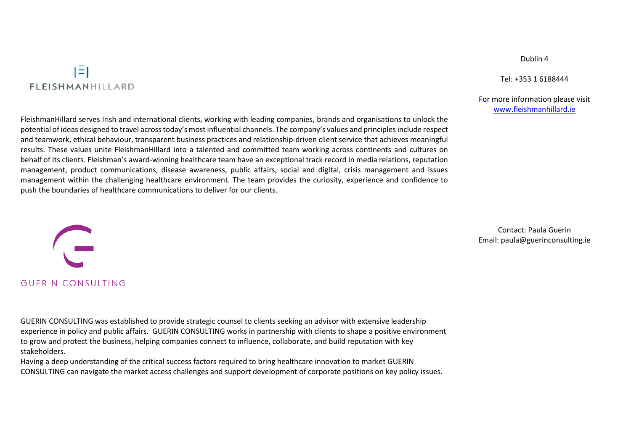### IΞI **FLEISHMANHILLARD**

FleishmanHillard serves Irish and international clients, working with leading companies, brands and organisations to unlock the potential of ideas designed to travel across today's most influential channels. The company's values and principles include respect and teamwork, ethical behaviour, transparent business practices and relationship-driven client service that achieves meaningful results. These values unite FleishmanHillard into a talented and committed team working across continents and cultures on behalf of its clients. Fleishman's award-winning healthcare team have an exceptional track record in media relations, reputation management, product communications, disease awareness, public affairs, social and digital, crisis management and issues management within the challenging healthcare environment. The team provides the curiosity, experience and confidence to push the boundaries of healthcare communications to deliver for our clients.

GUERIN CONSULTING

GUERIN CONSULTING was established to provide strategic counsel to clients seeking an advisor with extensive leadership experience in policy and public affairs. GUERIN CONSULTING works in partnership with clients to shape a positive environment to grow and protect the business, helping companies connect to influence, collaborate, and build reputation with key stakeholders.

Having a deep understanding of the critical success factors required to bring healthcare innovation to market GUERIN CONSULTING can navigate the market access challenges and support development of corporate positions on key policy issues.

Contact: Paula Guerin Email: paula@guerinconsulting.ie

Dublin 4

Tel: +353 1 6188444

#### For more information please visit [www.fleishmanhillard.ie](http://www.fleishmanhillard.ie/)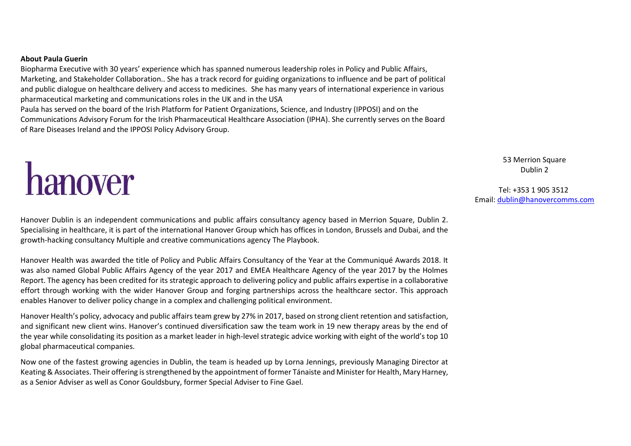#### **About Paula Guerin**

Biopharma Executive with 30 years' experience which has spanned numerous leadership roles in Policy and Public Affairs, Marketing, and Stakeholder Collaboration.. She has a track record for guiding organizations to influence and be part of political and public dialogue on healthcare delivery and access to medicines. She has many years of international experience in various pharmaceutical marketing and communications roles in the UK and in the USA Paula has served on the board of the Irish Platform for Patient Organizations, Science, and Industry (IPPOSI) and on the Communications Advisory Forum for the Irish Pharmaceutical Healthcare Association (IPHA). She currently serves on the Board of Rare Diseases Ireland and the IPPOSI Policy Advisory Group.

hanover

53 Merrion Square Dublin 2

Tel: +353 1 905 3512 Email[: dublin@hanovercomms.com](mailto:dublin@hanovercomms.com)

Hanover Dublin is an independent communications and public affairs consultancy agency based in [Merrion](https://maps.google.com/?q=Merrion+Square,+Dublin+2&entry=gmail&source=g) Square, Dublin 2. Specialising in healthcare, it is part of the international Hanover Group which has offices in London, Brussels and Dubai, and the growth-hacking consultancy Multiple and creative communications agency The Playbook.

Hanover Health was awarded the title of [Policy and Public Affairs Consultancy of the Year](http://www.pmlive.com/awards/communique/previous_winners/communique_awards_2018_results/individual,_team_and_company_awards/the_lucid_group_award_for_public_affairs_and_policy_consultancy_of_the_year) at the Communiqué Awards 2018. It was also named Global Public Affairs Agency of the year 2017 and EMEA Healthcare Agency of the year 2017 by the Holmes Report. The agency has been credited for its strategic approach to delivering policy and public affairs expertise in a collaborative effort through working with the wider Hanover Group and forging partnerships across the healthcare sector. This approach enables Hanover to deliver policy change in a complex and challenging political environment.

Hanover Health's policy, advocacy and public affairs team grew by 27% in 2017, based on strong client retention and satisfaction, and significant new client wins. Hanover's continued diversification saw the team work in 19 new therapy areas by the end of the year while consolidating its position as a market leader in high-level strategic advice working with eight of the world's top 10 global pharmaceutical companies.

Now one of the fastest growing agencies in Dublin, the team is headed up by Lorna Jennings, previously Managing Director at Keating & Associates. Their offering is strengthened by the appointment of former Tánaiste and Minister for Health, Mary Harney, as a Senior Adviser as well as Conor Gouldsbury, former Special Adviser to Fine Gael.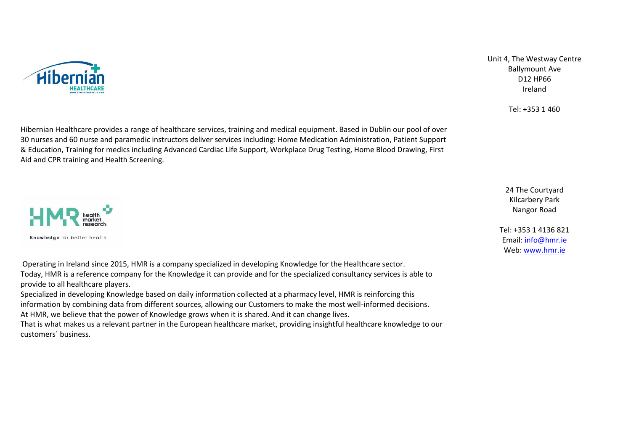

Unit 4, The Westway Centre Ballymount Ave D12 HP66 Ireland

Tel: +353 1 460

24 The Courtyard Kilcarbery Park Nangor Road

Tel: +353 1 4136 821 Email: [info@hmr.ie](mailto:info@hmr.ie) Web[: www.hmr.ie](http://www.hmr.ie/)

Hibernian Healthcare provides a range of healthcare services, training and medical equipment. Based in Dublin our pool of over 30 nurses and 60 nurse and paramedic instructors deliver services including: Home Medication Administration, Patient Support & Education, Training for medics including Advanced Cardiac Life Support, Workplace Drug Testing, Home Blood Drawing, First Aid and CPR training and Health Screening.



Operating in Ireland since 2015, HMR is a company specialized in developing Knowledge for the Healthcare sector. Today, HMR is a reference company for the Knowledge it can provide and for the specialized consultancy services is able to provide to all healthcare players.

Specialized in developing Knowledge based on daily information collected at a pharmacy level, HMR is reinforcing this information by combining data from different sources, allowing our Customers to make the most well-informed decisions. At HMR, we believe that the power of Knowledge grows when it is shared. And it can change lives. That is what makes us a relevant partner in the European healthcare market, providing insightful healthcare knowledge to our

customers´ business.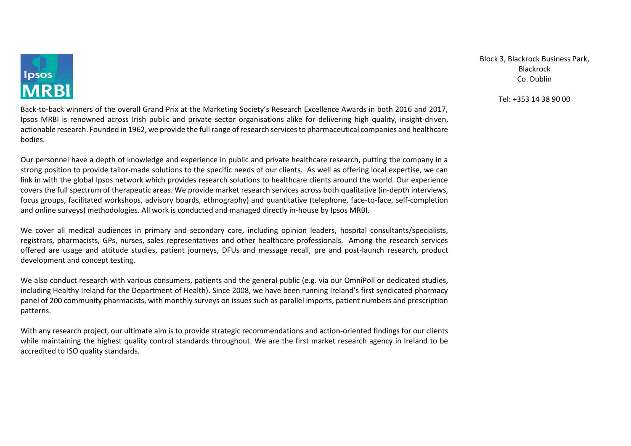

Back-to-back winners of the overall Grand Prix at the Marketing Society's Research Excellence Awards in both 2016 and 2017, Ipsos MRBI is renowned across Irish public and private sector organisations alike for delivering high quality, insight-driven, actionable research. Founded in 1962, we provide the full range of research services to pharmaceutical companies and healthcare bodies.

Our personnel have a depth of knowledge and experience in public and private healthcare research, putting the company in a strong position to provide tailor-made solutions to the specific needs of our clients. As well as offering local expertise, we can link in with the global Ipsos network which provides research solutions to healthcare clients around the world. Our experience covers the full spectrum of therapeutic areas. We provide market research services across both qualitative (in-depth interviews, focus groups, facilitated workshops, advisory boards, ethnography) and quantitative (telephone, face-to-face, self-completion and online surveys) methodologies. All work is conducted and managed directly in-house by Ipsos MRBI.

We cover all medical audiences in primary and secondary care, including opinion leaders, hospital consultants/specialists, registrars, pharmacists, GPs, nurses, sales representatives and other healthcare professionals. Among the research services offered are usage and attitude studies, patient journeys, DFUs and message recall, pre and post-launch research, product development and concept testing.

We also conduct research with various consumers, patients and the general public (e.g. via our OmniPoll or dedicated studies, including Healthy Ireland for the Department of Health). Since 2008, we have been running Ireland's first syndicated pharmacy panel of 200 community pharmacists, with monthly surveys on issues such as parallel imports, patient numbers and prescription patterns.

With any research project, our ultimate aim is to provide strategic recommendations and action-oriented findings for our clients while maintaining the highest quality control standards throughout. We are the first market research agency in Ireland to be accredited to ISO quality standards.

Block 3, Blackrock Business Park, Blackrock Co. Dublin

#### Tel: +353 14 38 90 00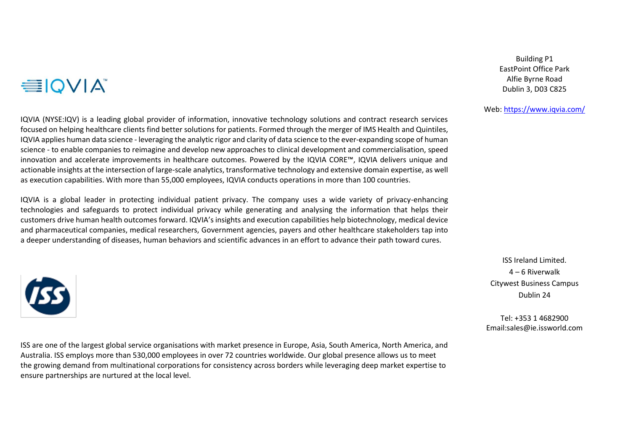## **EIQVIA**

IQVIA (NYSE:IQV) is a leading global provider of information, innovative technology solutions and contract research services focused on helping healthcare clients find better solutions for patients. Formed through the merger of IMS Health and Quintiles, IQVIA applies human data science - leveraging the analytic rigor and clarity of data science to the ever-expanding scope of human science - to enable companies to reimagine and develop new approaches to clinical development and commercialisation, speed innovation and accelerate improvements in healthcare outcomes. Powered by the IQVIA CORE™, IQVIA delivers unique and actionable insights at the intersection of large-scale analytics, transformative technology and extensive domain expertise, as well as execution capabilities. With more than 55,000 employees, IQVIA conducts operations in more than 100 countries.

IQVIA is a global leader in protecting individual patient privacy. The company uses a wide variety of privacy-enhancing technologies and safeguards to protect individual privacy while generating and analysing the information that helps their customers drive human health outcomes forward. IQVIA's insights and execution capabilities help biotechnology, medical device and pharmaceutical companies, medical researchers, Government agencies, payers and other healthcare stakeholders tap into a deeper understanding of diseases, human behaviors and scientific advances in an effort to advance their path toward cures.



ISS are one of the largest global service organisations with market presence in Europe, Asia, South America, North America, and Australia. ISS employs more than 530,000 employees in over 72 countries worldwide. Our global presence allows us to meet the growing demand from multinational corporations for consistency across borders while leveraging deep market expertise to ensure partnerships are nurtured at the local level.

Building P1 EastPoint Office Park Alfie Byrne Road Dublin 3, D03 C825

#### Web:<https://www.iqvia.com/>

ISS Ireland Limited. 4 – 6 Riverwalk Citywest Business Campus Dublin 24

Tel: +353 1 4682900 Email:sales@ie.issworld.com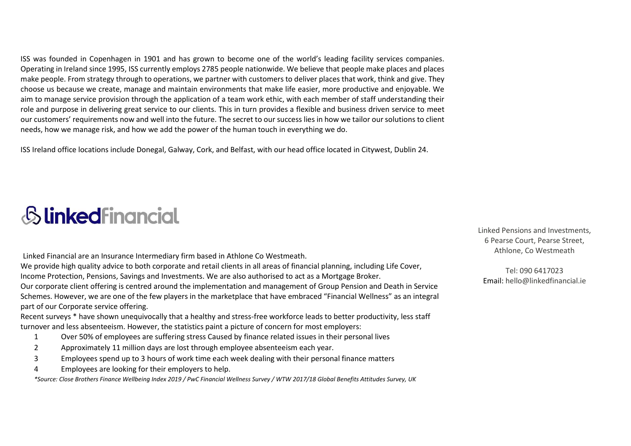ISS was founded in Copenhagen in 1901 and has grown to become one of the world's leading facility services companies. Operating in Ireland since 1995, ISS currently employs 2785 people nationwide. We believe that people make places and places make people. From strategy through to operations, we partner with customers to deliver places that work, think and give. They choose us because we create, manage and maintain environments that make life easier, more productive and enjoyable. We aim to manage service provision through the application of a team work ethic, with each member of staff understanding their role and purpose in delivering great service to our clients. This in turn provides a flexible and business driven service to meet our customers' requirements now and well into the future. The secret to our success lies in how we tailor our solutions to client needs, how we manage risk, and how we add the power of the human touch in everything we do.

ISS Ireland office locations include Donegal, Galway, Cork, and Belfast, with our head office located in Citywest, Dublin 24.

## *Slinkedfinancial*

Linked Financial are an Insurance Intermediary firm based in Athlone Co Westmeath.

We provide high quality advice to both corporate and retail clients in all areas of financial planning, including Life Cover, Income Protection, Pensions, Savings and Investments. We are also authorised to act as a Mortgage Broker.

Our corporate client offering is centred around the implementation and management of Group Pension and Death in Service Schemes. However, we are one of the few players in the marketplace that have embraced "Financial Wellness" as an integral part of our Corporate service offering.

Recent surveys \* have shown unequivocally that a healthy and stress-free workforce leads to better productivity, less staff turnover and less absenteeism. However, the statistics paint a picture of concern for most employers:

- 1 Over 50% of employees are suffering stress Caused by finance related issues in their personal lives
- 2 Approximately 11 million days are lost through employee absenteeism each year.
- 3 Employees spend up to 3 hours of work time each week dealing with their personal finance matters
- 4 Employees are looking for their employers to help.

*\*Source: Close Brothers Finance Wellbeing Index 2019 / PwC Financial Wellness Survey / WTW 2017/18 Global Benefits Attitudes Survey, UK*

Linked Pensions and Investments, 6 Pearse Court, Pearse Street, Athlone, Co Westmeath

Tel: 090 6417023 Email: hello@linkedfinancial.ie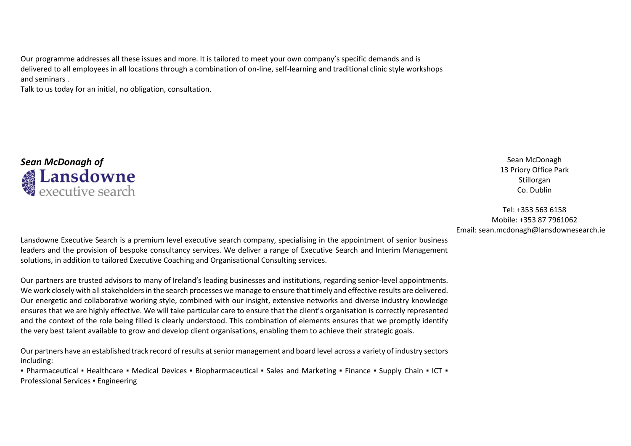Our programme addresses all these issues and more. It is tailored to meet your own company's specific demands and is delivered to all employees in all locations through a combination of on-line, self-learning and traditional clinic style workshops and seminars .

Talk to us today for an initial, no obligation, consultation.



13 Priory Office Park Stillorgan Co. Dublin

Tel: +353 563 6158 Mobile: +353 87 7961062 Email: sean.mcdonagh@lansdownesearch.ie

Lansdowne Executive Search is a premium level executive search company, specialising in the appointment of senior business leaders and the provision of bespoke consultancy services. We deliver a range of Executive Search and Interim Management solutions, in addition to tailored Executive Coaching and Organisational Consulting services.

Our partners are trusted advisors to many of Ireland's leading businesses and institutions, regarding senior-level appointments. We work closely with all stakeholders in the search processes we manage to ensure that timely and effective results are delivered. Our energetic and collaborative working style, combined with our insight, extensive networks and diverse industry knowledge ensures that we are highly effective. We will take particular care to ensure that the client's organisation is correctly represented and the context of the role being filled is clearly understood. This combination of elements ensures that we promptly identify the very best talent available to grow and develop client organisations, enabling them to achieve their strategic goals.

Our partners have an established track record of results at senior management and board level across a variety of industry sectors including:

■ Pharmaceutical ■ Healthcare ■ Medical Devices ■ Biopharmaceutical ■ Sales and Marketing ■ Finance ■ Supply Chain ■ ICT ■ Professional Services ▪ Engineering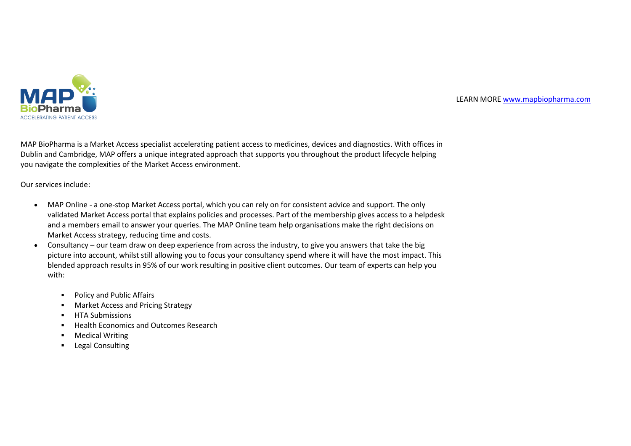

#### LEARN MORE [www.mapbiopharma.com](http://www.mapbiopharma.com/)

MAP BioPharma is a Market Access specialist accelerating patient access to medicines, devices and diagnostics. With offices in Dublin and Cambridge, MAP offers a unique integrated approach that supports you throughout the product lifecycle helping you navigate the complexities of the Market Access environment.

Our services include:

- MAP Online a one-stop Market Access portal, which you can rely on for consistent advice and support. The only validated Market Access portal that explains policies and processes. Part of the membership gives access to a helpdesk and a members email to answer your queries. The MAP Online team help organisations make the right decisions on Market Access strategy, reducing time and costs.
- Consultancy our team draw on deep experience from across the industry, to give you answers that take the big picture into account, whilst still allowing you to focus your consultancy spend where it will have the most impact. This blended approach results in 95% of our work resulting in positive client outcomes. Our team of experts can help you with:
	- Policy and Public Affairs
	- Market Access and Pricing Strategy
	- **■** HTA Submissions
	- Health Economics and Outcomes Research
	- Medical Writing
	- Legal Consulting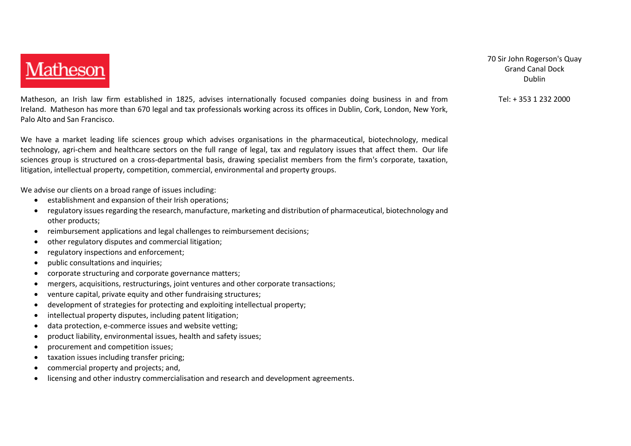

Matheson, an Irish law firm established in 1825, advises internationally focused companies doing business in and from Ireland. Matheson has more than 670 legal and tax professionals working across its offices in Dublin, Cork, London, New York, Palo Alto and San Francisco.

We have a market leading life sciences group which advises organisations in the pharmaceutical, biotechnology, medical technology, agri-chem and healthcare sectors on the full range of legal, tax and regulatory issues that affect them. Our life sciences group is structured on a cross-departmental basis, drawing specialist members from the firm's corporate, taxation, litigation, intellectual property, competition, commercial, environmental and property groups.

We advise our clients on a broad range of issues including:

- establishment and expansion of their Irish operations;
- regulatory issues regarding the research, manufacture, marketing and distribution of pharmaceutical, biotechnology and other products;
- reimbursement applications and legal challenges to reimbursement decisions;
- other regulatory disputes and commercial litigation;
- regulatory inspections and enforcement;
- public consultations and inquiries;
- corporate structuring and corporate governance matters;
- mergers, acquisitions, restructurings, joint ventures and other corporate transactions;
- venture capital, private equity and other fundraising structures;
- development of strategies for protecting and exploiting intellectual property;
- intellectual property disputes, including patent litigation;
- data protection, e-commerce issues and website vetting;
- product liability, environmental issues, health and safety issues;
- procurement and competition issues;
- taxation issues including transfer pricing;
- commercial property and projects; and,
- licensing and other industry commercialisation and research and development agreements.

70 Sir John Rogerson's Quay Grand Canal Dock Dublin

Tel: + 353 1 232 2000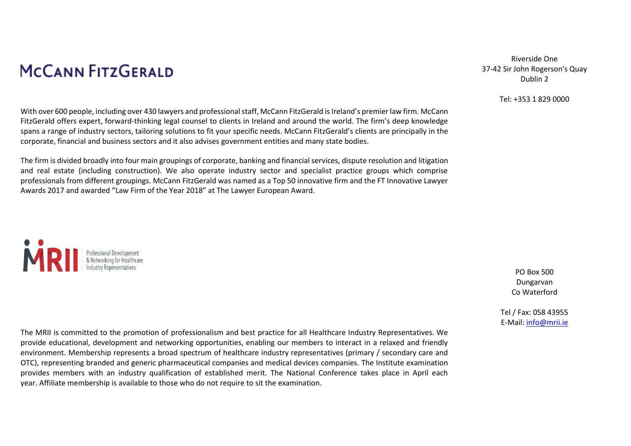## **MCCANN FITZGERALD**

With over 600 people, including over 430 lawyers and professional staff, McCann FitzGerald is Ireland's premier law firm. McCann FitzGerald offers expert, forward-thinking legal counsel to clients in Ireland and around the world. The firm's deep knowledge spans a range of industry sectors, tailoring solutions to fit your specific needs. McCann FitzGerald's clients are principally in the corporate, financial and business sectors and it also advises government entities and many state bodies.

The firm is divided broadly into four main groupings of corporate, banking and financial services, dispute resolution and litigation and real estate (including construction). We also operate industry sector and specialist practice groups which comprise professionals from different groupings. McCann FitzGerald was named as a Top 50 innovative firm and the FT Innovative Lawyer Awards 2017 and awarded "Law Firm of the Year 2018" at The Lawyer European Award.

Professional Development<br>& Networking for Healthcard

Riverside One 37-42 Sir John Rogerson's Quay Dublin 2

#### Tel: +353 1 829 0000

PO Box 500 Dungarvan Co Waterford

Tel / Fax: 058 43955 E-Mail: [info@mrii.ie](mailto:info@mrii.ie)

The MRII is committed to the promotion of professionalism and best practice for all Healthcare Industry Representatives. We provide educational, development and networking opportunities, enabling our members to interact in a relaxed and friendly environment. Membership represents a broad spectrum of healthcare industry representatives (primary / secondary care and OTC), representing branded and generic pharmaceutical companies and medical devices companies. The Institute examination provides members with an industry qualification of established merit. The National Conference takes place in April each year. Affiliate membership is available to those who do not require to sit the examination.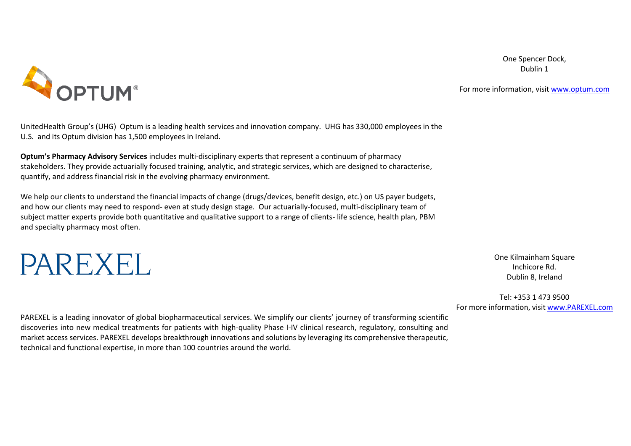One Spencer Dock, Dublin 1



For more information, visit [www.optum.com](http://www.optum.com/)

UnitedHealth Group's (UHG) Optum is a leading health services and innovation company. UHG has 330,000 employees in the U.S. and its Optum division has 1,500 employees in Ireland.

**Optum's Pharmacy Advisory Services** includes multi-disciplinary experts that represent a continuum of pharmacy stakeholders. They provide actuarially focused training, analytic, and strategic services, which are designed to characterise, quantify, and address financial risk in the evolving pharmacy environment.

We help our clients to understand the financial impacts of change (drugs/devices, benefit design, etc.) on US payer budgets, and how our clients may need to respond- even at study design stage. Our actuarially-focused, multi-disciplinary team of subject matter experts provide both quantitative and qualitative support to a range of clients- life science, health plan, PBM and specialty pharmacy most often.



One Kilmainham Square Inchicore Rd. Dublin 8, Ireland

Tel: +353 1 473 9500 For more information, visi[t www.PAREXEL.com](http://www.parexel.com/)

PAREXEL is a leading innovator of global biopharmaceutical services. We simplify our clients' journey of transforming scientific discoveries into new medical treatments for patients with high-quality Phase I-IV clinical research, regulatory, consulting and market access services. PAREXEL develops breakthrough innovations and solutions by leveraging its comprehensive therapeutic, technical and functional expertise, in more than 100 countries around the world.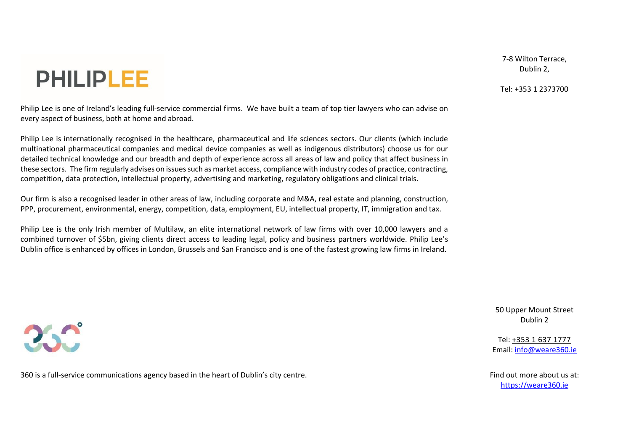# **PHILIPLEE**

Philip Lee is one of Ireland's leading full-service commercial firms. We have built a team of top tier lawyers who can advise on every aspect of business, both at home and abroad.

Philip Lee is internationally recognised in the healthcare, pharmaceutical and life sciences sectors. Our clients (which include multinational pharmaceutical companies and medical device companies as well as indigenous distributors) choose us for our detailed technical knowledge and our breadth and depth of experience across all areas of law and policy that affect business in these sectors. The firm regularly advises on issues such as market access, compliance with industry codes of practice, contracting, competition, data protection, intellectual property, advertising and marketing, regulatory obligations and clinical trials.

Our firm is also a recognised leader in other areas of law, including corporate and M&A, real estate and planning, construction, PPP, procurement, environmental, energy, competition, data, employment, EU, intellectual property, IT, immigration and tax.

Philip Lee is the only Irish member of Multilaw, an elite international network of law firms with over 10,000 lawyers and a combined turnover of \$5bn, giving clients direct access to leading legal, policy and business partners worldwide. Philip Lee's Dublin office is enhanced by offices in London, Brussels and San Francisco and is one of the fastest growing law firms in Ireland.

360 is a full-service communications agency based in the heart of Dublin's city centre. The example of the state of Dublin's city centre.

7-8 Wilton Terrace, Dublin 2,

Tel: +353 1 2373700

50 Upper Mount Street Dublin 2

Tel: [+353 1 637 1777](tel:+35316371777) Email[: info@weare360.ie](mailto:info@weare360.ie)

[https://weare360.ie](https://weare360.ie/)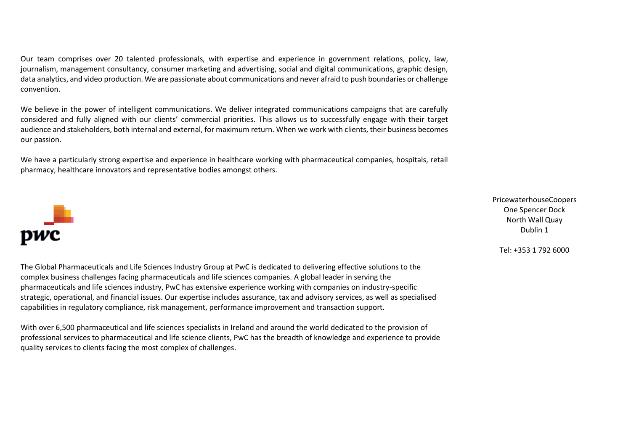Our team comprises over 20 talented professionals, with expertise and experience in government relations, policy, law, journalism, management consultancy, consumer marketing and advertising, social and digital communications, graphic design, data analytics, and video production. We are passionate about communications and never afraid to push boundaries or challenge convention.

We believe in the power of intelligent communications. We deliver integrated communications campaigns that are carefully considered and fully aligned with our clients' commercial priorities. This allows us to successfully engage with their target audience and stakeholders, both internal and external, for maximum return. When we work with clients, their business becomes our passion.

We have a particularly strong expertise and experience in healthcare working with pharmaceutical companies, hospitals, retail pharmacy, healthcare innovators and representative bodies amongst others.



The Global Pharmaceuticals and Life Sciences Industry Group at PwC is dedicated to delivering effective solutions to the complex business challenges facing pharmaceuticals and life sciences companies. A global leader in serving the pharmaceuticals and life sciences industry, PwC has extensive experience working with companies on industry-specific strategic, operational, and financial issues. Our expertise includes assurance, tax and advisory services, as well as specialised capabilities in regulatory compliance, risk management, performance improvement and transaction support.

With over 6,500 pharmaceutical and life sciences specialists in Ireland and around the world dedicated to the provision of professional services to pharmaceutical and life science clients, PwC has the breadth of knowledge and experience to provide quality services to clients facing the most complex of challenges.

PricewaterhouseCoopers One Spencer Dock North Wall Quay Dublin 1

Tel: +353 1 792 6000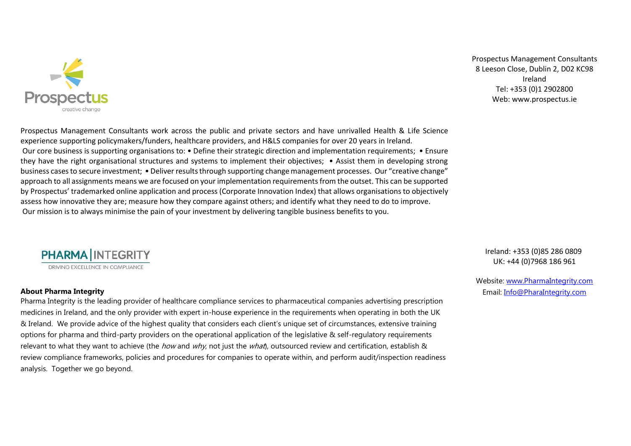

Prospectus Management Consultants [8 Leeson Close, Dublin](https://maps.google.com/?q=8+Leeson+Close+,+Dublin&entry=gmail&source=g) 2, D02 KC98 Ireland Tel: [+353 \(0\)1 2902800](tel:+353%201%20290%202800) Web: [www.prospectus.ie](http://www.prospectus.ie/)

Prospectus Management Consultants work across the public and private sectors and have unrivalled Health & Life Science experience supporting policymakers/funders, healthcare providers, and H&LS companies for over 20 years in Ireland. Our core business is supporting organisations to: • Define their strategic direction and implementation requirements; • Ensure they have the right organisational structures and systems to implement their objectives; • Assist them in developing strong business cases to secure investment; • Deliver results through supporting change management processes. Our "creative change" approach to all assignments means we are focused on your implementation requirements from the outset. This can be supported by Prospectus' trademarked online application and process (Corporate Innovation Index) that allows organisations to objectively assess how innovative they are; measure how they compare against others; and identify what they need to do to improve. Our mission is to always minimise the pain of your investment by delivering tangible business benefits to you.



#### **About Pharma Integrity**

Pharma Integrity is the leading provider of healthcare compliance services to pharmaceutical companies advertising prescription medicines in Ireland, and the only provider with expert in-house experience in the requirements when operating in both the UK & Ireland. We provide advice of the highest quality that considers each client's unique set of circumstances, extensive training options for pharma and third-party providers on the operational application of the legislative & self-regulatory requirements relevant to what they want to achieve (the *how* and  $why$ , not just the  $whaf$ ), outsourced review and certification, establish & review compliance frameworks, policies and procedures for companies to operate within, and perform audit/inspection readiness analysis. Together we go beyond.

Ireland: +353 (0)85 286 0809 UK: +44 (0)7968 186 961

Website: [www.PharmaIntegrity.com](http://www.pharmaintegrity.com/) Email: [Info@PharaIntegrity.com](mailto:Info@PharaIntegrity.com)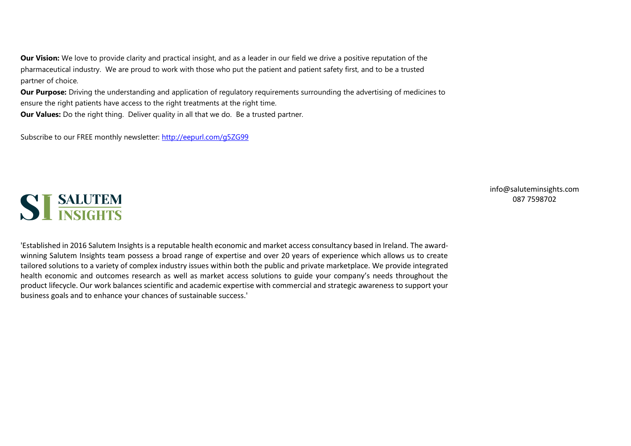**Our Vision:** We love to provide clarity and practical insight, and as a leader in our field we drive a positive reputation of the pharmaceutical industry. We are proud to work with those who put the patient and patient safety first, and to be a trusted partner of choice.

**Our Purpose:** Driving the understanding and application of regulatory requirements surrounding the advertising of medicines to ensure the right patients have access to the right treatments at the right time. **Our Values:** Do the right thing. Deliver quality in all that we do. Be a trusted partner.

Subscribe to our FREE monthly newsletter:<http://eepurl.com/g5ZG99>



[info@saluteminsights.com](mailto:info@saluteminsights.com) [087 7598702](tel:)

'Established in 2016 Salutem Insights is a reputable health economic and market access consultancy based in Ireland. The awardwinning Salutem Insights team possess a broad range of expertise and over 20 years of experience which allows us to create tailored solutions to a variety of complex industry issues within both the public and private marketplace. We provide integrated health economic and outcomes research as well as market access solutions to guide your company's needs throughout the product lifecycle. Our work balances scientific and academic expertise with commercial and strategic awareness to support your business goals and to enhance your chances of sustainable success.'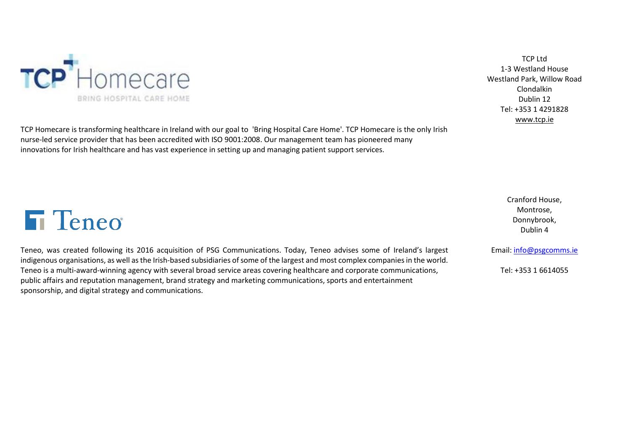

TCP Ltd 1-3 Westland House Westland Park, Willow Road Clondalkin Dublin 12 Tel: +353 1 4291828 [www.tcp.ie](http://www.tcp.ie/)

TCP Homecare is transforming healthcare in Ireland with our goal to 'Bring Hospital Care Home'. TCP Homecare is the only Irish nurse-led service provider that has been accredited with ISO 9001:2008. Our management team has pioneered many innovations for Irish healthcare and has vast experience in setting up and managing patient support services.

> Cranford House, Montrose, Donnybrook, Dublin 4

#### Email: [info@psgcomms.ie](mailto:info@psgcomms.ie)

Tel: +353 1 6614055

# **T** Teneo

Teneo, was created following its 2016 acquisition of PSG Communications. Today, Teneo advises some of Ireland's largest indigenous organisations, as well as the Irish-based subsidiaries of some of the largest and most complex companies in the world. Teneo is a multi-award-winning agency with several broad service areas covering healthcare and corporate communications, public affairs and reputation management, brand strategy and marketing communications, sports and entertainment sponsorship, and digital strategy and communications.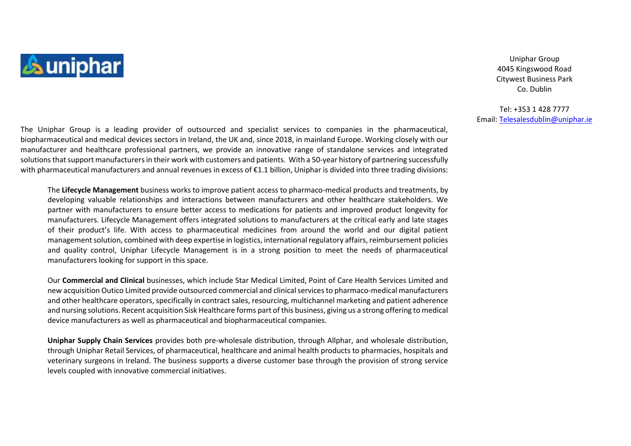

Uniphar Group 4045 Kingswood Road Citywest Business Park Co. Dublin

Tel: +353 1 428 7777 Email: [Telesalesdublin@uniphar.ie](mailto:Telesalesdublin@uniphar.ie)

The Uniphar Group is a leading provider of outsourced and specialist services to companies in the pharmaceutical, biopharmaceutical and medical devices sectors in Ireland, the UK and, since 2018, in mainland Europe. Working closely with our manufacturer and healthcare professional partners, we provide an innovative range of standalone services and integrated solutions that support manufacturers in their work with customers and patients. With a 50-year history of partnering successfully with pharmaceutical manufacturers and annual revenues in excess of €1.1 billion, Uniphar is divided into three trading divisions:

The **Lifecycle Management** business works to improve patient access to pharmaco-medical products and treatments, by developing valuable relationships and interactions between manufacturers and other healthcare stakeholders. We partner with manufacturers to ensure better access to medications for patients and improved product longevity for manufacturers. Lifecycle Management offers integrated solutions to manufacturers at the critical early and late stages of their product's life. With access to pharmaceutical medicines from around the world and our digital patient management solution, combined with deep expertise in logistics, international regulatory affairs, reimbursement policies and quality control, Uniphar Lifecycle Management is in a strong position to meet the needs of pharmaceutical manufacturers looking for support in this space.

Our **Commercial and Clinical** businesses, which include Star Medical Limited, Point of Care Health Services Limited and new acquisition Outico Limited provide outsourced commercial and clinical services to pharmaco-medical manufacturers and other healthcare operators, specifically in contract sales, resourcing, multichannel marketing and patient adherence and nursing solutions. Recent acquisition Sisk Healthcare forms part of this business, giving us a strong offering to medical device manufacturers as well as pharmaceutical and biopharmaceutical companies.

**Uniphar Supply Chain Services** provides both pre-wholesale distribution, through Allphar, and wholesale distribution, through Uniphar Retail Services, of pharmaceutical, healthcare and animal health products to pharmacies, hospitals and veterinary surgeons in Ireland. The business supports a diverse customer base through the provision of strong service levels coupled with innovative commercial initiatives.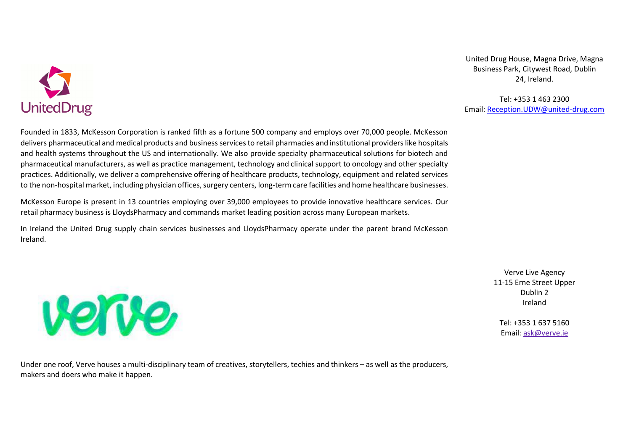

United Drug House, Magna Drive, Magna Business Park, Citywest Road, Dublin 24, Ireland.

Tel: +353 1 463 2300 Email: [Reception.UDW@united-drug.com](mailto:Reception.UDW@united-drug.com)

Founded in 1833, McKesson Corporation is ranked fifth as a fortune 500 company and employs over 70,000 people. McKesson delivers pharmaceutical and medical products and business services to retail pharmacies and institutional providers like hospitals and health systems throughout the US and internationally. We also provide specialty pharmaceutical solutions for biotech and pharmaceutical manufacturers, as well as practice management, technology and clinical support to oncology and other specialty practices. Additionally, we deliver a comprehensive offering of healthcare products, technology, equipment and related services to the non-hospital market, including physician offices, surgery centers, long-term care facilities and home healthcare businesses.

McKesson Europe is present in 13 countries employing over 39,000 employees to provide innovative healthcare services. Our retail pharmacy business is LloydsPharmacy and commands market leading position across many European markets.

In Ireland the United Drug supply chain services businesses and LloydsPharmacy operate under the parent brand McKesson Ireland.



Verve Live Agency 11-15 Erne Street Upper Dublin 2 Ireland

Tel: +353 1 637 5160 Email: [ask@verve.ie](mailto:ask@verve.ie)

Under one roof, Verve houses a multi-disciplinary team of creatives, storytellers, techies and thinkers – as well as the producers, makers and doers who make it happen.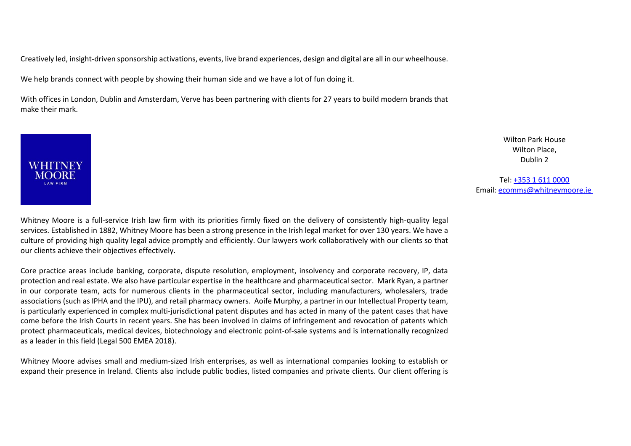Creatively led, insight-driven sponsorship activations, events, live brand experiences, design and digital are all in our wheelhouse.

We help brands connect with people by showing their human side and we have a lot of fun doing it.

With offices in London, Dublin and Amsterdam, Verve has been partnering with clients for 27 years to build modern brands that make their mark.



Wilton Park House Wilton Place, Dublin 2

Tel: [+353 1 611 0000](tel:+35316110000) Email: [ecomms@whitneymoore.ie](mailto:ecomms@whitneymoore.ie)

Whitney Moore is a full-service Irish law firm with its priorities firmly fixed on the delivery of consistently high-quality legal services. Established in 1882, Whitney Moore has been a strong presence in the Irish legal market for over 130 years. We have a culture of providing high quality legal advice promptly and efficiently. Our lawyers work collaboratively with our clients so that our clients achieve their objectives effectively.

Core practice areas include banking, corporate, dispute resolution, employment, insolvency and corporate recovery, IP, data protection and real estate. We also have particular expertise in the healthcare and pharmaceutical sector. [Mark Ryan,](https://whitneymoore.ie/people/mark-ryan/) a partner in our [corporate](https://whitneymoore.ie/what-we-do/our-experience-expertise/corporate/) team, acts for numerous clients in the pharmaceutical sector, including manufacturers, wholesalers, trade associations (such as IPHA and the IPU), and retail pharmacy owners. [Aoife Murphy,](https://whitneymoore.ie/people/aoife-murphy/) a partner in our [Intellectual Property](https://whitneymoore.ie/what-we-do/our-experience-expertise/intellectual-property/) team, is particularly experienced in complex multi-jurisdictional patent disputes and has acted in many of the patent cases that have come before the Irish Courts in recent years. She has been involved in claims of infringement and revocation of patents which protect pharmaceuticals, medical devices, biotechnology and electronic point-of-sale systems and is internationally recognized as a leader in this field [\(Legal 500 EMEA 2018\)](https://www.legal500.com/c/ireland/intellectual-property).

Whitney Moore advises small and medium-sized Irish enterprises, as well as international companies looking to establish or expand their presence in Ireland. Clients also include public bodies, listed companies and private clients. Our client offering is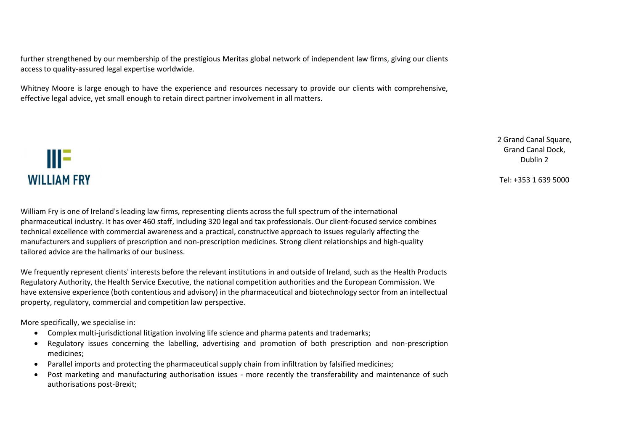further strengthened by our membership of the prestigious [Meritas](https://www.meritas.org/) global network of independent law firms, giving our clients access to quality-assured legal expertise worldwide.

Whitney Moore is large enough to have the experience and resources necessary to provide our clients with comprehensive, effective legal advice, yet small enough to retain direct partner involvement in all matters.

## ШE **WILLIAM FRY**

William Fry is one of Ireland's leading law firms, representing clients across the full spectrum of the international pharmaceutical industry. It has over 460 staff, including 320 legal and tax professionals. Our client-focused service combines technical excellence with commercial awareness and a practical, constructive approach to issues regularly affecting the manufacturers and suppliers of prescription and non-prescription medicines. Strong client relationships and high-quality tailored advice are the hallmarks of our business.

We frequently represent clients' interests before the relevant institutions in and outside of Ireland, such as the Health Products Regulatory Authority, the Health Service Executive, the national competition authorities and the European Commission. We have extensive experience (both contentious and advisory) in the pharmaceutical and biotechnology sector from an intellectual property, regulatory, commercial and competition law perspective.

More specifically, we specialise in:

- Complex multi-jurisdictional litigation involving life science and pharma patents and trademarks;
- Regulatory issues concerning the labelling, advertising and promotion of both prescription and non-prescription medicines;
- Parallel imports and protecting the pharmaceutical supply chain from infiltration by falsified medicines;
- Post marketing and manufacturing authorisation issues more recently the transferability and maintenance of such authorisations post-Brexit;

2 Grand Canal Square. Grand Canal Dock, Dublin 2

Tel: +353 1 639 5000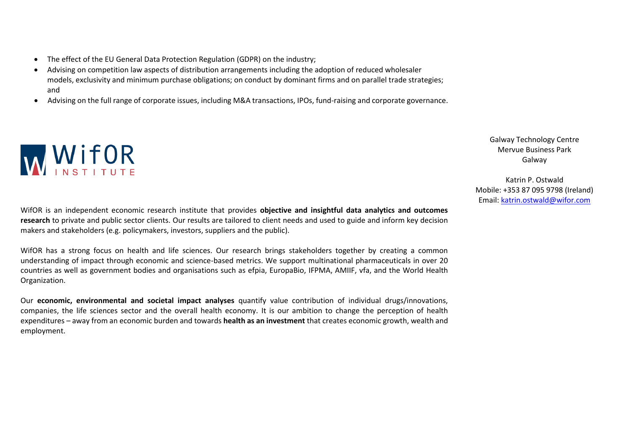- The effect of the EU General Data Protection Regulation (GDPR) on the industry;
- Advising on competition law aspects of distribution arrangements including the adoption of reduced wholesaler models, exclusivity and minimum purchase obligations; on conduct by dominant firms and on parallel trade strategies; and
- Advising on the full range of corporate issues, including M&A transactions, IPOs, fund-raising and corporate governance.



WifOR is an independent economic research institute that provides **objective and insightful data analytics and outcomes research** to private and public sector clients. Our results are tailored to client needs and used to guide and inform key decision makers and stakeholders (e.g. policymakers, investors, suppliers and the public).

WifOR has a strong focus on health and life sciences. Our research brings stakeholders together by creating a common understanding of impact through economic and science-based metrics. We support multinational pharmaceuticals in over 20 countries as well as government bodies and organisations such as efpia, EuropaBio, IFPMA, AMIIF, vfa, and the World Health Organization.

Our **economic, environmental and societal impact analyses** quantify value contribution of individual drugs/innovations, companies, the life sciences sector and the overall health economy. It is our ambition to change the perception of health expenditures – away from an economic burden and towards **health as an investment** that creates economic growth, wealth and employment.

Galway Technology Centre Mervue Business Park Galway

Katrin P. Ostwald Mobile: +353 87 095 9798 (Ireland) Email[: katrin.ostwald@wifor.com](mailto:katrin.ostwald@wifor.com)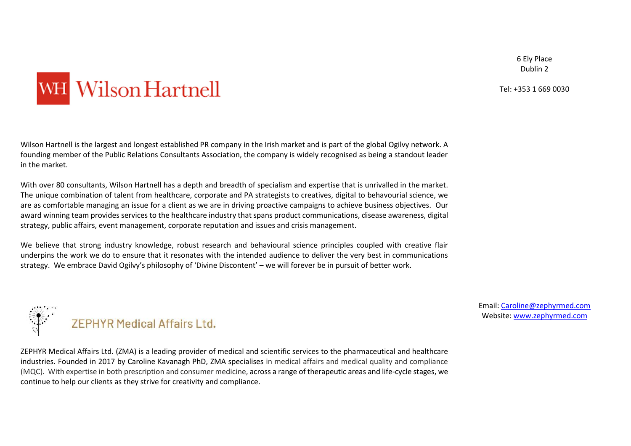6 Ely Place Dublin 2

Tel: +353 1 669 0030

# WH Wilson Hartnell

Wilson Hartnell is the largest and longest established PR company in the Irish market and is part of the global Ogilvy network. A founding member of the Public Relations Consultants Association, the company is widely recognised as being a standout leader in the market.

With over 80 consultants, Wilson Hartnell has a depth and breadth of specialism and expertise that is unrivalled in the market. The unique combination of talent from healthcare, corporate and PA strategists to creatives, digital to behavourial science, we are as comfortable managing an issue for a client as we are in driving proactive campaigns to achieve business objectives. Our award winning team provides services to the healthcare industry that spans product communications, disease awareness, digital strategy, public affairs, event management, corporate reputation and issues and crisis management.

We believe that strong industry knowledge, robust research and behavioural science principles coupled with creative flair underpins the work we do to ensure that it resonates with the intended audience to deliver the very best in communications strategy. We embrace David Ogilvy's philosophy of 'Divine Discontent' – we will forever be in pursuit of better work.



ZEPHYR Medical Affairs Ltd. (ZMA) is a leading provider of medical and scientific services to the pharmaceutical and healthcare industries. Founded in 2017 by Caroline Kavanagh PhD, ZMA specialises in medical affairs and medical quality and compliance (MQC). With expertise in both prescription and consumer medicine, across a range of therapeutic areas and life-cycle stages, we continue to help our clients as they strive for creativity and compliance.

Email[: Caroline@zephyrmed.com](mailto:Caroline@zephyrmed.com) Website: [www.zephyrmed.com](http://www.zephyrmed.com/)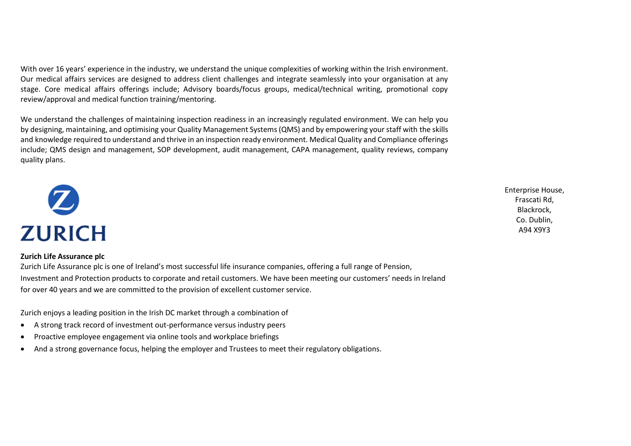With over 16 years' experience in the industry, we understand the unique complexities of working within the Irish environment. Our medical affairs services are designed to address client challenges and integrate seamlessly into your organisation at any stage. Core medical affairs offerings include; Advisory boards/focus groups, medical/technical writing, promotional copy review/approval and medical function training/mentoring.

We understand the challenges of maintaining inspection readiness in an increasingly regulated environment. We can help you by designing, maintaining, and optimising your Quality Management Systems(QMS) and by empowering yourstaff with the skills and knowledge required to understand and thrive in an inspection ready environment. Medical Quality and Compliance offerings include; QMS design and management, SOP development, audit management, CAPA management, quality reviews, company quality plans.



#### **Zurich Life Assurance plc**

Zurich Life Assurance plc is one of Ireland's most successful life insurance companies, offering a full range of Pension, Investment and Protection products to corporate and retail customers. We have been meeting our customers' needs in Ireland for over 40 years and we are committed to the provision of excellent customer service.

Zurich enjoys a leading position in the Irish DC market through a combination of

- A strong track record of investment out-performance versus industry peers
- Proactive employee engagement via online tools and workplace briefings
- And a strong governance focus, helping the employer and Trustees to meet their regulatory obligations.

Enterprise House, Frascati Rd, Blackrock, Co. Dublin, A94 X9Y3